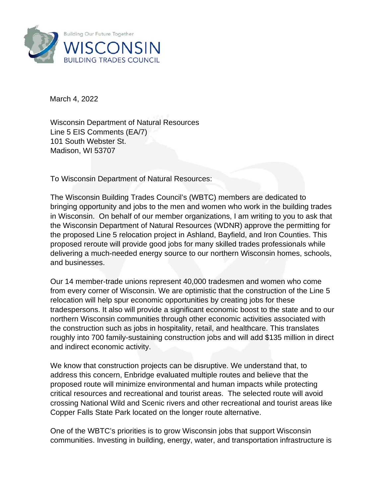

March 4, 2022

Wisconsin Department of Natural Resources Line 5 EIS Comments (EA/7) 101 South Webster St. Madison, WI 53707

To Wisconsin Department of Natural Resources:

The Wisconsin Building Trades Council's (WBTC) members are dedicated to bringing opportunity and jobs to the men and women who work in the building trades in Wisconsin. On behalf of our member organizations, I am writing to you to ask that the Wisconsin Department of Natural Resources (WDNR) approve the permitting for the proposed Line 5 relocation project in Ashland, Bayfield, and Iron Counties. This proposed reroute will provide good jobs for many skilled trades professionals while delivering a much-needed energy source to our northern Wisconsin homes, schools, and businesses.

Our 14 member-trade unions represent 40,000 tradesmen and women who come from every corner of Wisconsin. We are optimistic that the construction of the Line 5 relocation will help spur economic opportunities by creating jobs for these tradespersons. It also will provide a significant economic boost to the state and to our northern Wisconsin communities through other economic activities associated with the construction such as jobs in hospitality, retail, and healthcare. This translates roughly into 700 family-sustaining construction jobs and will add \$135 million in direct and indirect economic activity.

We know that construction projects can be disruptive. We understand that, to address this concern, Enbridge evaluated multiple routes and believe that the proposed route will minimize environmental and human impacts while protecting critical resources and recreational and tourist areas. The selected route will avoid crossing National Wild and Scenic rivers and other recreational and tourist areas like Copper Falls State Park located on the longer route alternative.

One of the WBTC's priorities is to grow Wisconsin jobs that support Wisconsin communities. Investing in building, energy, water, and transportation infrastructure is